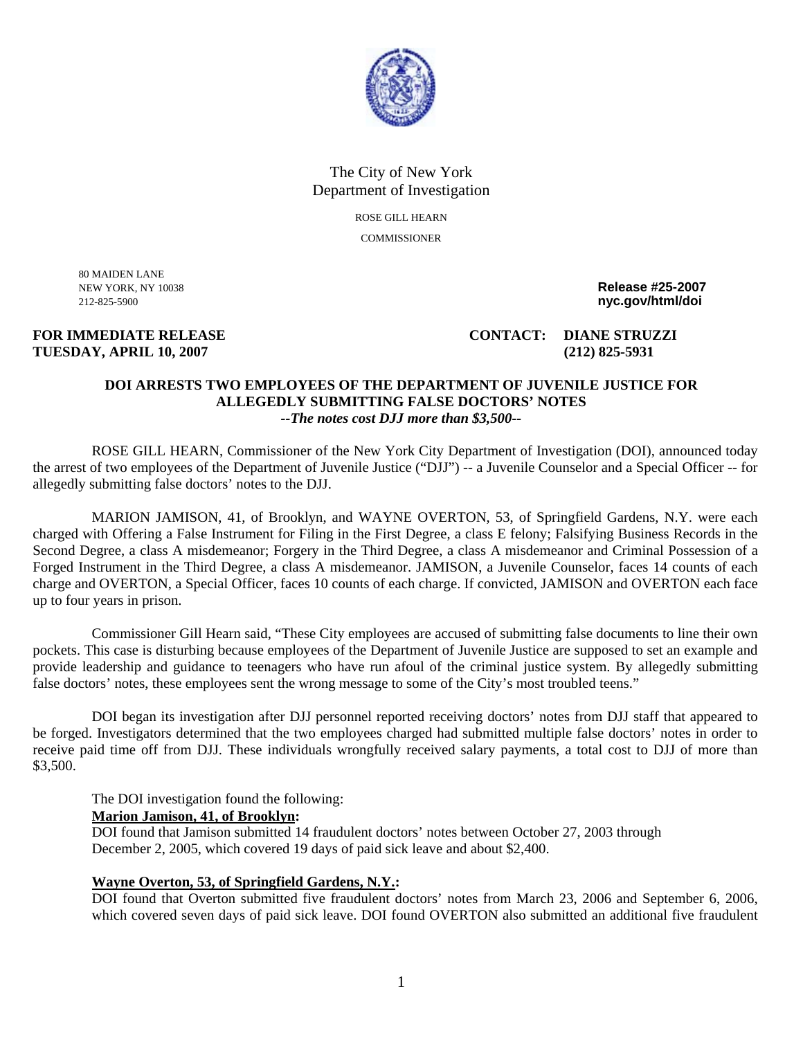

## The City of New York Department of Investigation ROSE GILL HEARN

**COMMISSIONER** 

80 MAIDEN LANE

# **TUESDAY, APRIL 10, 2007 (212) 825-5931**

NEW YORK, NY 10038 **Release #25-2007**  212-825-5900 **nyc.gov/html/doi** 

**FOR IMMEDIATE RELEASE CONTACT: DIANE STRUZZI** 

#### **DOI ARRESTS TWO EMPLOYEES OF THE DEPARTMENT OF JUVENILE JUSTICE FOR ALLEGEDLY SUBMITTING FALSE DOCTORS' NOTES**  *--The notes cost DJJ more than \$3,500--*

ROSE GILL HEARN, Commissioner of the New York City Department of Investigation (DOI), announced today the arrest of two employees of the Department of Juvenile Justice ("DJJ") -- a Juvenile Counselor and a Special Officer -- for allegedly submitting false doctors' notes to the DJJ.

MARION JAMISON, 41, of Brooklyn, and WAYNE OVERTON, 53, of Springfield Gardens, N.Y. were each charged with Offering a False Instrument for Filing in the First Degree, a class E felony; Falsifying Business Records in the Second Degree, a class A misdemeanor; Forgery in the Third Degree, a class A misdemeanor and Criminal Possession of a Forged Instrument in the Third Degree, a class A misdemeanor. JAMISON, a Juvenile Counselor, faces 14 counts of each charge and OVERTON, a Special Officer, faces 10 counts of each charge. If convicted, JAMISON and OVERTON each face up to four years in prison.

Commissioner Gill Hearn said, "These City employees are accused of submitting false documents to line their own pockets. This case is disturbing because employees of the Department of Juvenile Justice are supposed to set an example and provide leadership and guidance to teenagers who have run afoul of the criminal justice system. By allegedly submitting false doctors' notes, these employees sent the wrong message to some of the City's most troubled teens."

DOI began its investigation after DJJ personnel reported receiving doctors' notes from DJJ staff that appeared to be forged. Investigators determined that the two employees charged had submitted multiple false doctors' notes in order to receive paid time off from DJJ. These individuals wrongfully received salary payments, a total cost to DJJ of more than \$3,500.

The DOI investigation found the following:

### **Marion Jamison, 41, of Brooklyn:**

DOI found that Jamison submitted 14 fraudulent doctors' notes between October 27, 2003 through December 2, 2005, which covered 19 days of paid sick leave and about \$2,400.

#### **Wayne Overton, 53, of Springfield Gardens, N.Y.:**

DOI found that Overton submitted five fraudulent doctors' notes from March 23, 2006 and September 6, 2006, which covered seven days of paid sick leave. DOI found OVERTON also submitted an additional five fraudulent